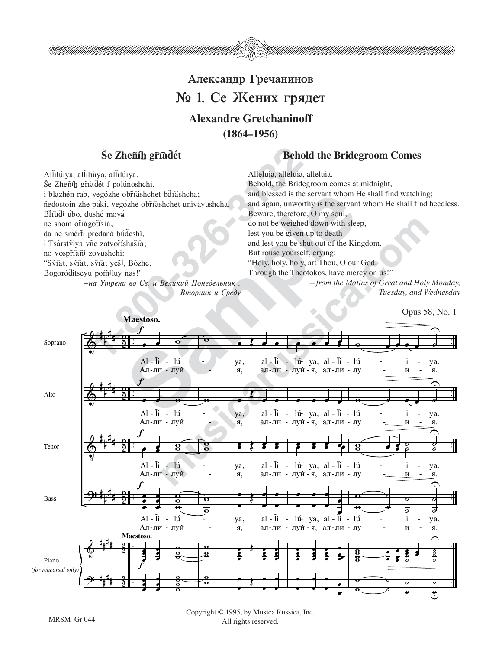

## Александр Гречанинов  $\mathbb{N}$  1. Се Жених грядет **Alexandre Gretchaninoff (1864–1956)**

Se Zhenih griadét<br>
lúiya, allilúiya.<br>
Alleluia, alleluia, alleluia, alleluia, alleluia, alleluia, alleluia, alleluia, alleluia, alleluia, alleluia, alleluia, alleluia, alleluia, alleluia, alleluia, alleluia, alleluia, alle Allilúiya, allilúiya, allilúiya. Še Zheñíh gříàdét f polúnoshchi, i blazhén rab, yegózhe obříáshchet bdíáshcha; ñedostóin zhe páki, yegózhe obříáshchet unïváyushcha. BĨtudí úbo, dushé moyá ñe snom ottagotísta, da ñe smérti předaná búdeshï, i Tsárstviya vñe zatvoríshasia; no vospříàní zovúshchi: "Svîat, svîat, svîat yeší, Bózhe, Bogoróditseyu pomíluy nas!'

*—na Utreni vo Sv. i Velikij Ponedel≤nik ,* Вторник и Среду

## Se Zheñíh gříadet **Behold the Bridegroom Comes**

Alleluia, alleluia, alleluia. Behold, the Bridegroom comes at midnight, and blessed is the servant whom He shall find watching; and again, unworthy is the servant whom He shall find heedless. Beware, therefore, O my soul, do not be weighed down with sleep, lest you be given up to death and lest you be shut out of the Kingdom. But rouse yourself, crying: "Holy, holy, holy, art Thou, O our God. Through the Theotokos, have mercy on us!"

*—from the Matins of Great and Holy Monday, Tuesday, and Wednesday*

Opus 58, No. 1

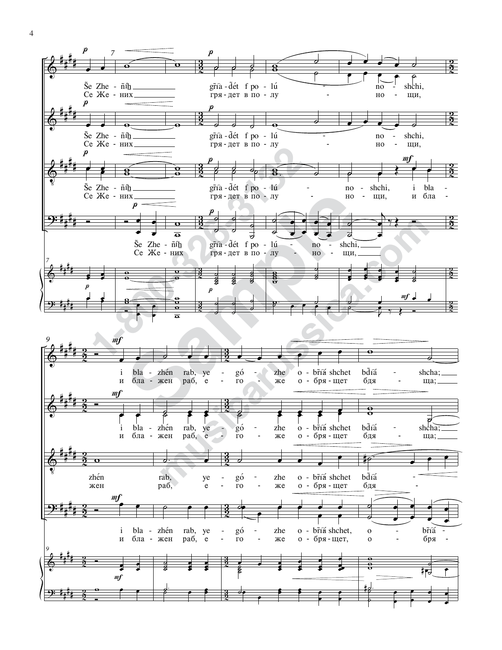



Ĭ.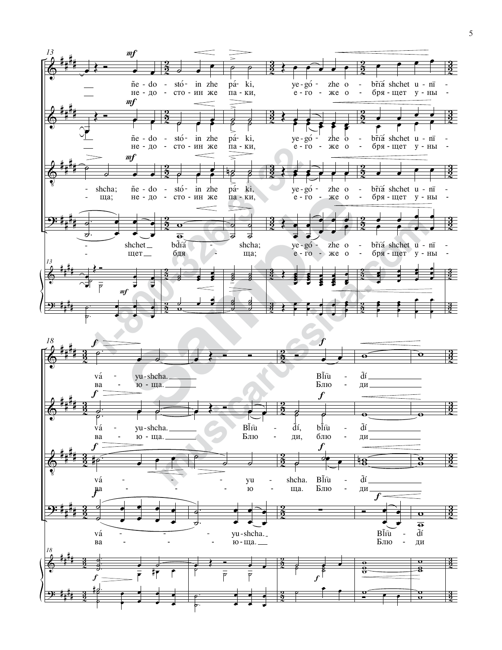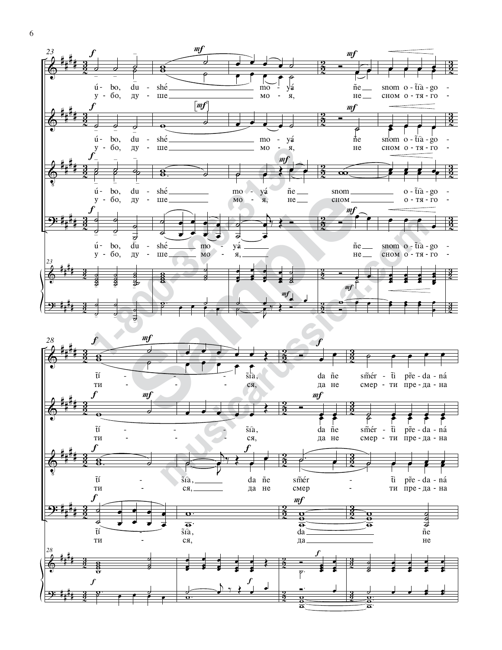

6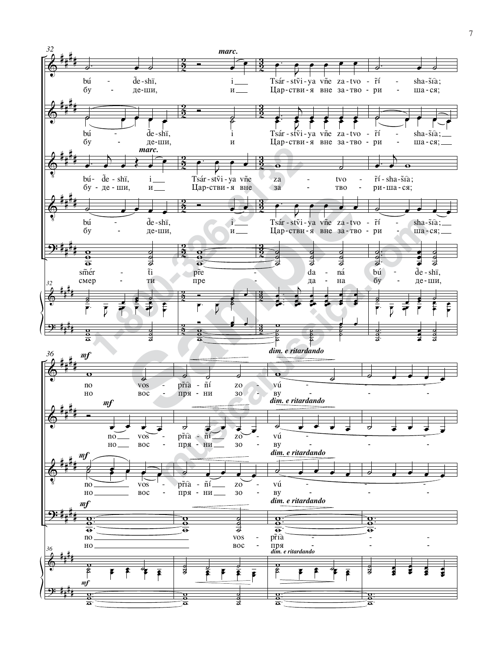